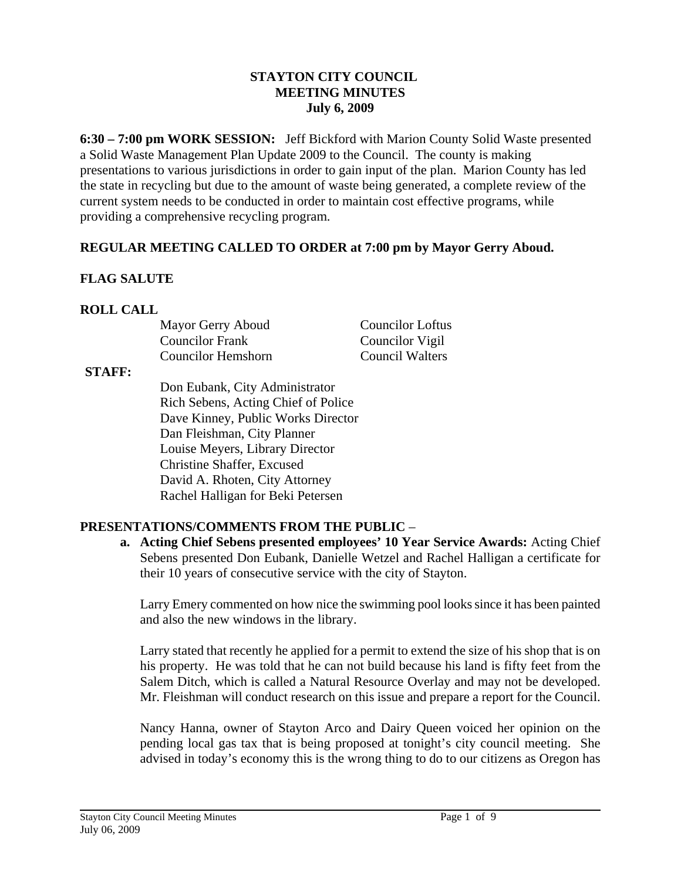#### **STAYTON CITY COUNCIL MEETING MINUTES July 6, 2009**

**6:30 – 7:00 pm WORK SESSION:** Jeff Bickford with Marion County Solid Waste presented a Solid Waste Management Plan Update 2009 to the Council. The county is making presentations to various jurisdictions in order to gain input of the plan. Marion County has led the state in recycling but due to the amount of waste being generated, a complete review of the current system needs to be conducted in order to maintain cost effective programs, while providing a comprehensive recycling program.

# **REGULAR MEETING CALLED TO ORDER at 7:00 pm by Mayor Gerry Aboud.**

# **FLAG SALUTE**

# **ROLL CALL**

Mayor Gerry Aboud Councilor Loftus Councilor Frank Councilor Vigil Councilor Hemshorn Council Walters

#### **STAFF:**

Don Eubank, City Administrator Rich Sebens, Acting Chief of Police Dave Kinney, Public Works Director Dan Fleishman, City Planner Louise Meyers, Library Director Christine Shaffer, Excused David A. Rhoten, City Attorney Rachel Halligan for Beki Petersen

### **PRESENTATIONS/COMMENTS FROM THE PUBLIC** –

**a. Acting Chief Sebens presented employees' 10 Year Service Awards:** Acting Chief Sebens presented Don Eubank, Danielle Wetzel and Rachel Halligan a certificate for their 10 years of consecutive service with the city of Stayton.

Larry Emery commented on how nice the swimming pool looks since it has been painted and also the new windows in the library.

Larry stated that recently he applied for a permit to extend the size of his shop that is on his property. He was told that he can not build because his land is fifty feet from the Salem Ditch, which is called a Natural Resource Overlay and may not be developed. Mr. Fleishman will conduct research on this issue and prepare a report for the Council.

Nancy Hanna, owner of Stayton Arco and Dairy Queen voiced her opinion on the pending local gas tax that is being proposed at tonight's city council meeting. She advised in today's economy this is the wrong thing to do to our citizens as Oregon has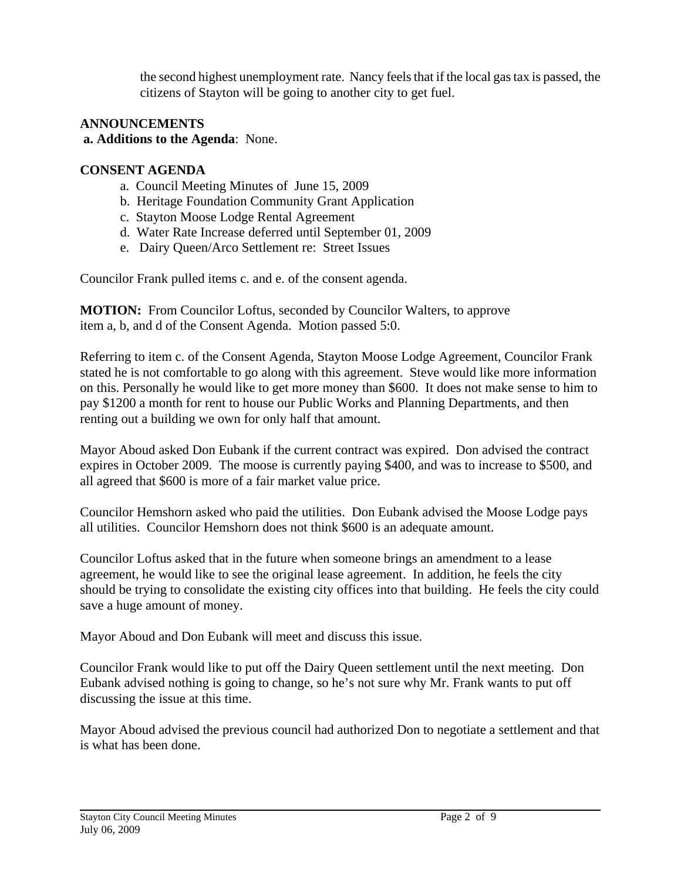the second highest unemployment rate. Nancy feels that if the local gas tax is passed, the citizens of Stayton will be going to another city to get fuel.

# **ANNOUNCEMENTS**

#### **a. Additions to the Agenda**: None.

#### **CONSENT AGENDA**

- a. Council Meeting Minutes of June 15, 2009
- b. Heritage Foundation Community Grant Application
- c. Stayton Moose Lodge Rental Agreement
- d. Water Rate Increase deferred until September 01, 2009
- e. Dairy Queen/Arco Settlement re: Street Issues

Councilor Frank pulled items c. and e. of the consent agenda.

**MOTION:** From Councilor Loftus, seconded by Councilor Walters, to approve item a, b, and d of the Consent Agenda. Motion passed 5:0.

Referring to item c. of the Consent Agenda, Stayton Moose Lodge Agreement, Councilor Frank stated he is not comfortable to go along with this agreement. Steve would like more information on this. Personally he would like to get more money than \$600. It does not make sense to him to pay \$1200 a month for rent to house our Public Works and Planning Departments, and then renting out a building we own for only half that amount.

Mayor Aboud asked Don Eubank if the current contract was expired. Don advised the contract expires in October 2009. The moose is currently paying \$400, and was to increase to \$500, and all agreed that \$600 is more of a fair market value price.

Councilor Hemshorn asked who paid the utilities. Don Eubank advised the Moose Lodge pays all utilities. Councilor Hemshorn does not think \$600 is an adequate amount.

Councilor Loftus asked that in the future when someone brings an amendment to a lease agreement, he would like to see the original lease agreement. In addition, he feels the city should be trying to consolidate the existing city offices into that building. He feels the city could save a huge amount of money.

Mayor Aboud and Don Eubank will meet and discuss this issue.

Councilor Frank would like to put off the Dairy Queen settlement until the next meeting. Don Eubank advised nothing is going to change, so he's not sure why Mr. Frank wants to put off discussing the issue at this time.

Mayor Aboud advised the previous council had authorized Don to negotiate a settlement and that is what has been done.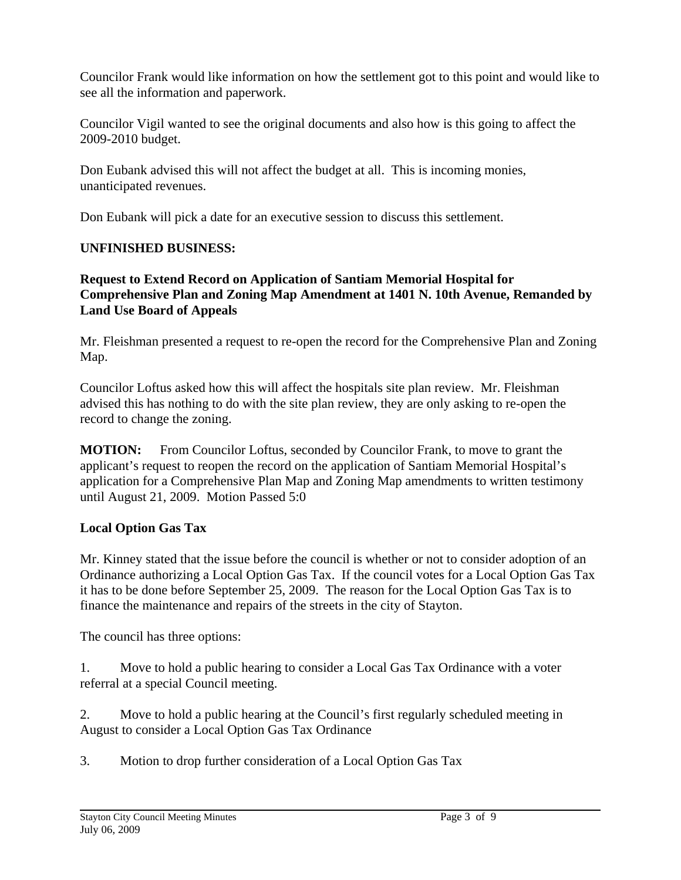Councilor Frank would like information on how the settlement got to this point and would like to see all the information and paperwork.

Councilor Vigil wanted to see the original documents and also how is this going to affect the 2009-2010 budget.

Don Eubank advised this will not affect the budget at all. This is incoming monies, unanticipated revenues.

Don Eubank will pick a date for an executive session to discuss this settlement.

# **UNFINISHED BUSINESS:**

### **Request to Extend Record on Application of Santiam Memorial Hospital for Comprehensive Plan and Zoning Map Amendment at 1401 N. 10th Avenue, Remanded by Land Use Board of Appeals**

Mr. Fleishman presented a request to re-open the record for the Comprehensive Plan and Zoning Map.

Councilor Loftus asked how this will affect the hospitals site plan review. Mr. Fleishman advised this has nothing to do with the site plan review, they are only asking to re-open the record to change the zoning.

**MOTION:** From Councilor Loftus, seconded by Councilor Frank, to move to grant the applicant's request to reopen the record on the application of Santiam Memorial Hospital's application for a Comprehensive Plan Map and Zoning Map amendments to written testimony until August 21, 2009. Motion Passed 5:0

### **Local Option Gas Tax**

Mr. Kinney stated that the issue before the council is whether or not to consider adoption of an Ordinance authorizing a Local Option Gas Tax. If the council votes for a Local Option Gas Tax it has to be done before September 25, 2009. The reason for the Local Option Gas Tax is to finance the maintenance and repairs of the streets in the city of Stayton.

The council has three options:

1. Move to hold a public hearing to consider a Local Gas Tax Ordinance with a voter referral at a special Council meeting.

2. Move to hold a public hearing at the Council's first regularly scheduled meeting in August to consider a Local Option Gas Tax Ordinance

3. Motion to drop further consideration of a Local Option Gas Tax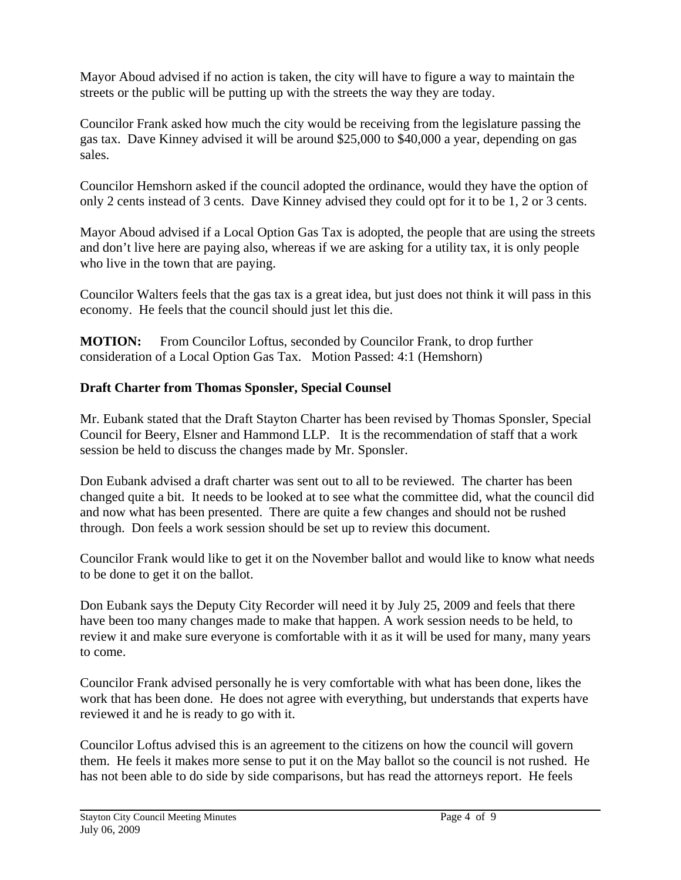Mayor Aboud advised if no action is taken, the city will have to figure a way to maintain the streets or the public will be putting up with the streets the way they are today.

Councilor Frank asked how much the city would be receiving from the legislature passing the gas tax. Dave Kinney advised it will be around \$25,000 to \$40,000 a year, depending on gas sales.

Councilor Hemshorn asked if the council adopted the ordinance, would they have the option of only 2 cents instead of 3 cents. Dave Kinney advised they could opt for it to be 1, 2 or 3 cents.

Mayor Aboud advised if a Local Option Gas Tax is adopted, the people that are using the streets and don't live here are paying also, whereas if we are asking for a utility tax, it is only people who live in the town that are paying.

Councilor Walters feels that the gas tax is a great idea, but just does not think it will pass in this economy. He feels that the council should just let this die.

**MOTION:** From Councilor Loftus, seconded by Councilor Frank, to drop further consideration of a Local Option Gas Tax. Motion Passed: 4:1 (Hemshorn)

# **Draft Charter from Thomas Sponsler, Special Counsel**

Mr. Eubank stated that the Draft Stayton Charter has been revised by Thomas Sponsler, Special Council for Beery, Elsner and Hammond LLP. It is the recommendation of staff that a work session be held to discuss the changes made by Mr. Sponsler.

Don Eubank advised a draft charter was sent out to all to be reviewed. The charter has been changed quite a bit. It needs to be looked at to see what the committee did, what the council did and now what has been presented. There are quite a few changes and should not be rushed through. Don feels a work session should be set up to review this document.

Councilor Frank would like to get it on the November ballot and would like to know what needs to be done to get it on the ballot.

Don Eubank says the Deputy City Recorder will need it by July 25, 2009 and feels that there have been too many changes made to make that happen. A work session needs to be held, to review it and make sure everyone is comfortable with it as it will be used for many, many years to come.

Councilor Frank advised personally he is very comfortable with what has been done, likes the work that has been done. He does not agree with everything, but understands that experts have reviewed it and he is ready to go with it.

Councilor Loftus advised this is an agreement to the citizens on how the council will govern them. He feels it makes more sense to put it on the May ballot so the council is not rushed. He has not been able to do side by side comparisons, but has read the attorneys report. He feels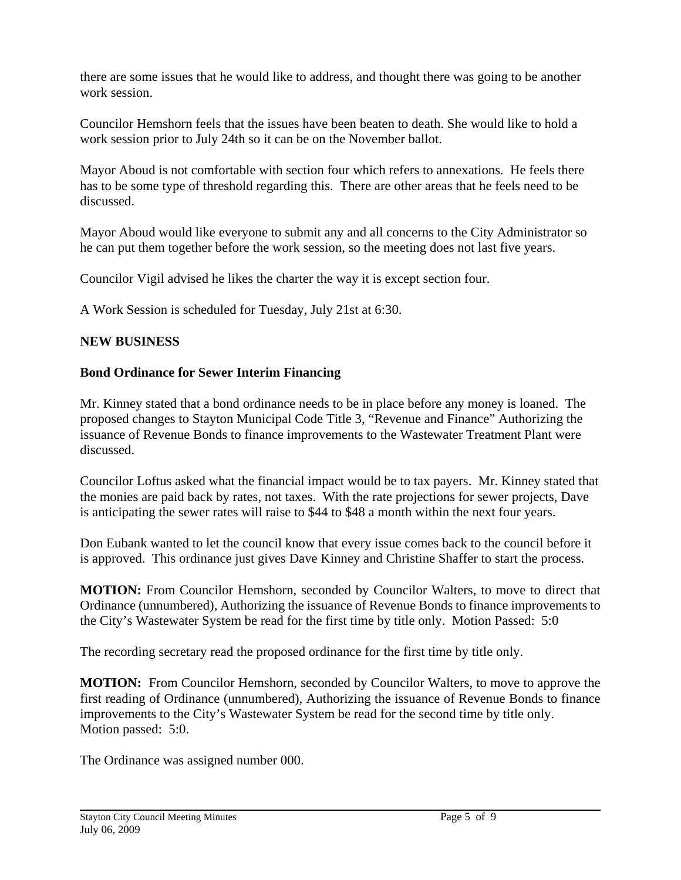there are some issues that he would like to address, and thought there was going to be another work session.

Councilor Hemshorn feels that the issues have been beaten to death. She would like to hold a work session prior to July 24th so it can be on the November ballot.

Mayor Aboud is not comfortable with section four which refers to annexations. He feels there has to be some type of threshold regarding this. There are other areas that he feels need to be discussed.

Mayor Aboud would like everyone to submit any and all concerns to the City Administrator so he can put them together before the work session, so the meeting does not last five years.

Councilor Vigil advised he likes the charter the way it is except section four.

A Work Session is scheduled for Tuesday, July 21st at 6:30.

### **NEW BUSINESS**

### **Bond Ordinance for Sewer Interim Financing**

Mr. Kinney stated that a bond ordinance needs to be in place before any money is loaned. The proposed changes to Stayton Municipal Code Title 3, "Revenue and Finance" Authorizing the issuance of Revenue Bonds to finance improvements to the Wastewater Treatment Plant were discussed.

Councilor Loftus asked what the financial impact would be to tax payers. Mr. Kinney stated that the monies are paid back by rates, not taxes. With the rate projections for sewer projects, Dave is anticipating the sewer rates will raise to \$44 to \$48 a month within the next four years.

Don Eubank wanted to let the council know that every issue comes back to the council before it is approved. This ordinance just gives Dave Kinney and Christine Shaffer to start the process.

**MOTION:** From Councilor Hemshorn, seconded by Councilor Walters, to move to direct that Ordinance (unnumbered), Authorizing the issuance of Revenue Bonds to finance improvements to the City's Wastewater System be read for the first time by title only. Motion Passed: 5:0

The recording secretary read the proposed ordinance for the first time by title only.

**MOTION:** From Councilor Hemshorn, seconded by Councilor Walters, to move to approve the first reading of Ordinance (unnumbered), Authorizing the issuance of Revenue Bonds to finance improvements to the City's Wastewater System be read for the second time by title only. Motion passed: 5:0.

The Ordinance was assigned number 000.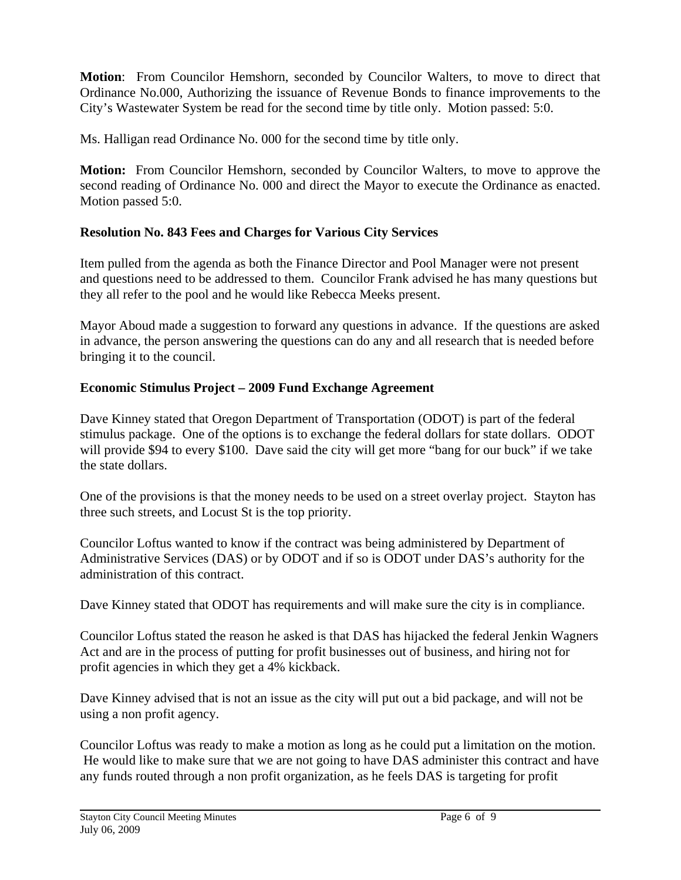**Motion**: From Councilor Hemshorn, seconded by Councilor Walters, to move to direct that Ordinance No.000, Authorizing the issuance of Revenue Bonds to finance improvements to the City's Wastewater System be read for the second time by title only. Motion passed: 5:0.

Ms. Halligan read Ordinance No. 000 for the second time by title only.

**Motion:** From Councilor Hemshorn, seconded by Councilor Walters, to move to approve the second reading of Ordinance No. 000 and direct the Mayor to execute the Ordinance as enacted. Motion passed 5:0.

# **Resolution No. 843 Fees and Charges for Various City Services**

Item pulled from the agenda as both the Finance Director and Pool Manager were not present and questions need to be addressed to them. Councilor Frank advised he has many questions but they all refer to the pool and he would like Rebecca Meeks present.

Mayor Aboud made a suggestion to forward any questions in advance. If the questions are asked in advance, the person answering the questions can do any and all research that is needed before bringing it to the council.

# **Economic Stimulus Project – 2009 Fund Exchange Agreement**

Dave Kinney stated that Oregon Department of Transportation (ODOT) is part of the federal stimulus package. One of the options is to exchange the federal dollars for state dollars. ODOT will provide \$94 to every \$100. Dave said the city will get more "bang for our buck" if we take the state dollars.

One of the provisions is that the money needs to be used on a street overlay project. Stayton has three such streets, and Locust St is the top priority.

Councilor Loftus wanted to know if the contract was being administered by Department of Administrative Services (DAS) or by ODOT and if so is ODOT under DAS's authority for the administration of this contract.

Dave Kinney stated that ODOT has requirements and will make sure the city is in compliance.

Councilor Loftus stated the reason he asked is that DAS has hijacked the federal Jenkin Wagners Act and are in the process of putting for profit businesses out of business, and hiring not for profit agencies in which they get a 4% kickback.

Dave Kinney advised that is not an issue as the city will put out a bid package, and will not be using a non profit agency.

Councilor Loftus was ready to make a motion as long as he could put a limitation on the motion. He would like to make sure that we are not going to have DAS administer this contract and have any funds routed through a non profit organization, as he feels DAS is targeting for profit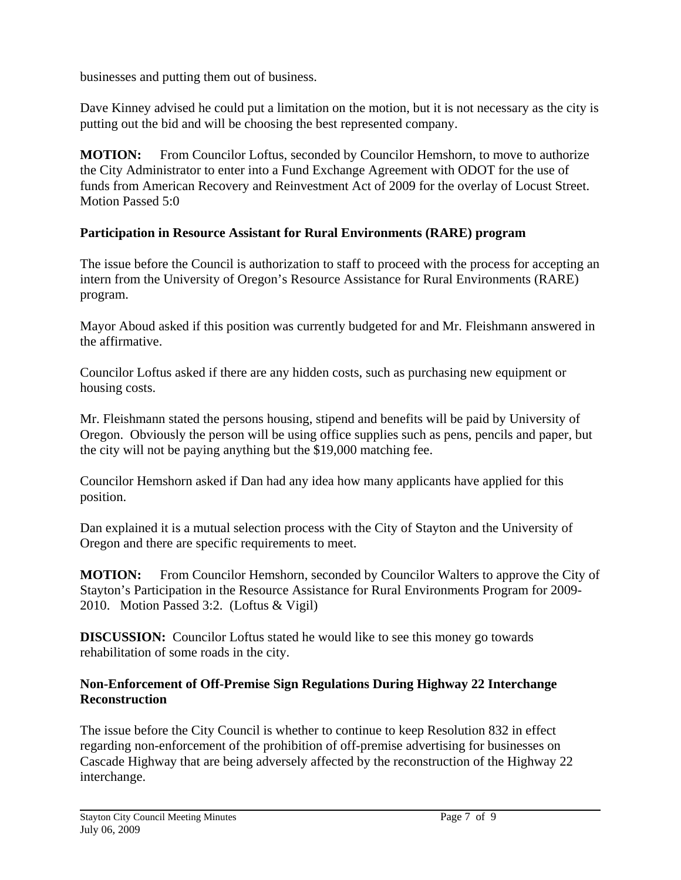businesses and putting them out of business.

Dave Kinney advised he could put a limitation on the motion, but it is not necessary as the city is putting out the bid and will be choosing the best represented company.

**MOTION:** From Councilor Loftus, seconded by Councilor Hemshorn, to move to authorize the City Administrator to enter into a Fund Exchange Agreement with ODOT for the use of funds from American Recovery and Reinvestment Act of 2009 for the overlay of Locust Street. Motion Passed 5:0

# **Participation in Resource Assistant for Rural Environments (RARE) program**

The issue before the Council is authorization to staff to proceed with the process for accepting an intern from the University of Oregon's Resource Assistance for Rural Environments (RARE) program.

Mayor Aboud asked if this position was currently budgeted for and Mr. Fleishmann answered in the affirmative.

Councilor Loftus asked if there are any hidden costs, such as purchasing new equipment or housing costs.

Mr. Fleishmann stated the persons housing, stipend and benefits will be paid by University of Oregon. Obviously the person will be using office supplies such as pens, pencils and paper, but the city will not be paying anything but the \$19,000 matching fee.

Councilor Hemshorn asked if Dan had any idea how many applicants have applied for this position.

Dan explained it is a mutual selection process with the City of Stayton and the University of Oregon and there are specific requirements to meet.

**MOTION:** From Councilor Hemshorn, seconded by Councilor Walters to approve the City of Stayton's Participation in the Resource Assistance for Rural Environments Program for 2009- 2010. Motion Passed 3:2. (Loftus & Vigil)

**DISCUSSION:** Councilor Loftus stated he would like to see this money go towards rehabilitation of some roads in the city.

### **Non-Enforcement of Off-Premise Sign Regulations During Highway 22 Interchange Reconstruction**

The issue before the City Council is whether to continue to keep Resolution 832 in effect regarding non-enforcement of the prohibition of off-premise advertising for businesses on Cascade Highway that are being adversely affected by the reconstruction of the Highway 22 interchange.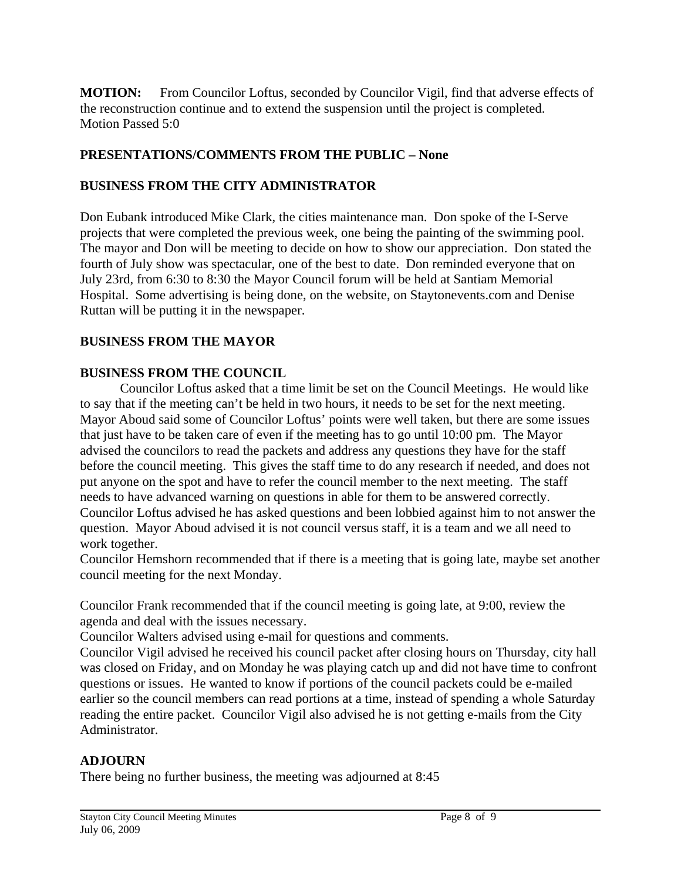**MOTION:** From Councilor Loftus, seconded by Councilor Vigil, find that adverse effects of the reconstruction continue and to extend the suspension until the project is completed. Motion Passed 5:0

#### **PRESENTATIONS/COMMENTS FROM THE PUBLIC – None**

### **BUSINESS FROM THE CITY ADMINISTRATOR**

Don Eubank introduced Mike Clark, the cities maintenance man. Don spoke of the I-Serve projects that were completed the previous week, one being the painting of the swimming pool. The mayor and Don will be meeting to decide on how to show our appreciation. Don stated the fourth of July show was spectacular, one of the best to date. Don reminded everyone that on July 23rd, from 6:30 to 8:30 the Mayor Council forum will be held at Santiam Memorial Hospital. Some advertising is being done, on the website, on Staytonevents.com and Denise Ruttan will be putting it in the newspaper.

#### **BUSINESS FROM THE MAYOR**

#### **BUSINESS FROM THE COUNCIL**

 Councilor Loftus asked that a time limit be set on the Council Meetings. He would like to say that if the meeting can't be held in two hours, it needs to be set for the next meeting. Mayor Aboud said some of Councilor Loftus' points were well taken, but there are some issues that just have to be taken care of even if the meeting has to go until 10:00 pm. The Mayor advised the councilors to read the packets and address any questions they have for the staff before the council meeting. This gives the staff time to do any research if needed, and does not put anyone on the spot and have to refer the council member to the next meeting. The staff needs to have advanced warning on questions in able for them to be answered correctly. Councilor Loftus advised he has asked questions and been lobbied against him to not answer the question. Mayor Aboud advised it is not council versus staff, it is a team and we all need to work together.

Councilor Hemshorn recommended that if there is a meeting that is going late, maybe set another council meeting for the next Monday.

Councilor Frank recommended that if the council meeting is going late, at 9:00, review the agenda and deal with the issues necessary.

Councilor Walters advised using e-mail for questions and comments.

Councilor Vigil advised he received his council packet after closing hours on Thursday, city hall was closed on Friday, and on Monday he was playing catch up and did not have time to confront questions or issues. He wanted to know if portions of the council packets could be e-mailed earlier so the council members can read portions at a time, instead of spending a whole Saturday reading the entire packet. Councilor Vigil also advised he is not getting e-mails from the City Administrator.

### **ADJOURN**

There being no further business, the meeting was adjourned at 8:45